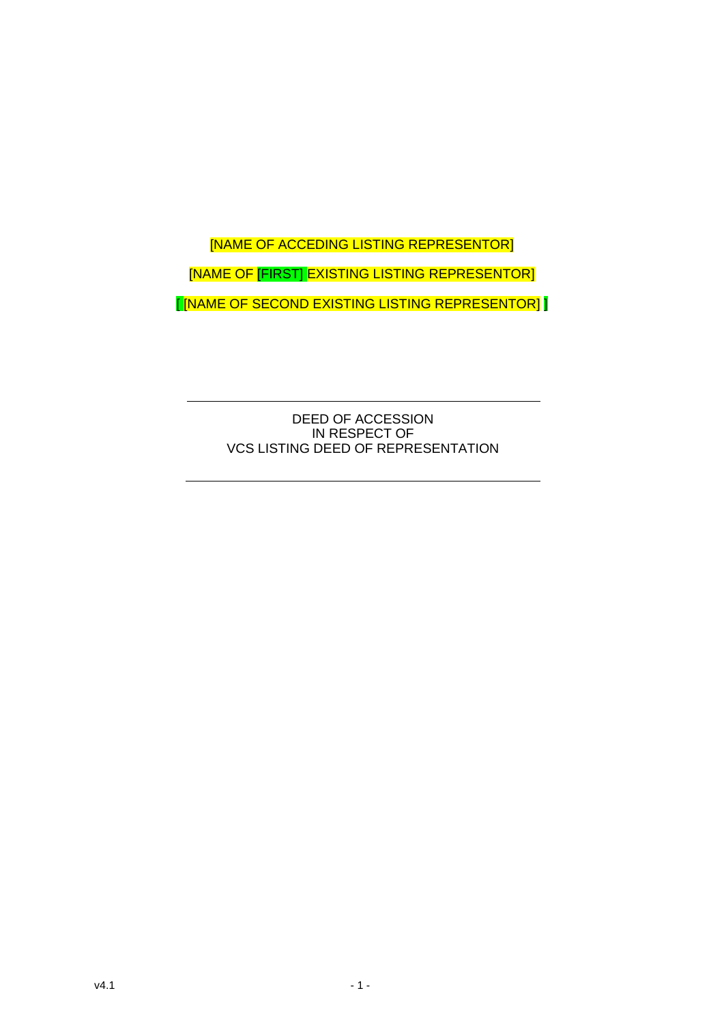# [NAME OF ACCEDING LISTING REPRESENTOR] [NAME OF [FIRST] EXISTING LISTING REPRESENTOR] [ [NAME OF SECOND EXISTING LISTING REPRESENTOR] ]

DEED OF ACCESSION IN RESPECT OF VCS LISTING DEED OF REPRESENTATION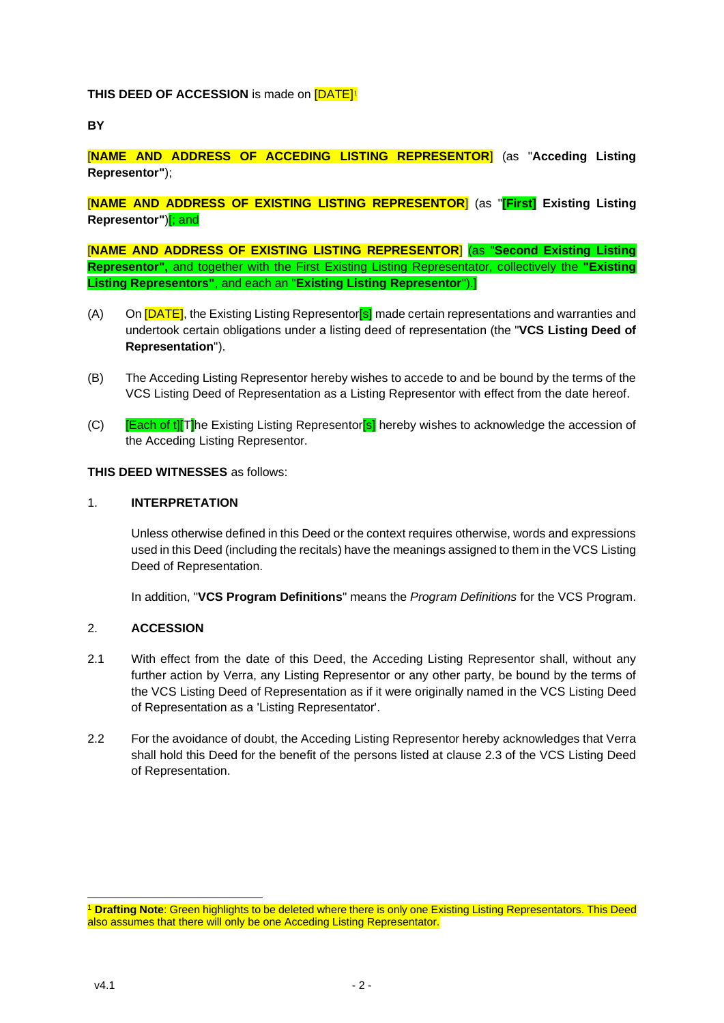# **THIS DEED OF ACCESSION** is made on **[DATE]<sup>1</sup>**

**BY**

[**NAME AND ADDRESS OF ACCEDING LISTING REPRESENTOR**] (as "**Acceding Listing Representor"**);

[**NAME AND ADDRESS OF EXISTING LISTING REPRESENTOR**] (as "**[First] Existing Listing Representor"**)[; and

[**NAME AND ADDRESS OF EXISTING LISTING REPRESENTOR**] (as "**Second Existing Listing Representor",** and together with the First Existing Listing Representator, collectively the **"Existing Listing Representors"**, and each an "**Existing Listing Representor**").]

- (A) On **[DATE]**, the Existing Listing Representor<sup>[s]</sup> made certain representations and warranties and undertook certain obligations under a listing deed of representation (the "**VCS Listing Deed of Representation**").
- (B) The Acceding Listing Representor hereby wishes to accede to and be bound by the terms of the VCS Listing Deed of Representation as a Listing Representor with effect from the date hereof.
- (C) **[Each of t][T]**he Existing Listing Representor<sup>[s]</sup> hereby wishes to acknowledge the accession of the Acceding Listing Representor.

## **THIS DEED WITNESSES** as follows:

#### 1. **INTERPRETATION**

Unless otherwise defined in this Deed or the context requires otherwise, words and expressions used in this Deed (including the recitals) have the meanings assigned to them in the VCS Listing Deed of Representation.

In addition, "**VCS Program Definitions**" means the *Program Definitions* for the VCS Program.

#### 2. **ACCESSION**

- 2.1 With effect from the date of this Deed, the Acceding Listing Representor shall, without any further action by Verra, any Listing Representor or any other party, be bound by the terms of the VCS Listing Deed of Representation as if it were originally named in the VCS Listing Deed of Representation as a 'Listing Representator'.
- 2.2 For the avoidance of doubt, the Acceding Listing Representor hereby acknowledges that Verra shall hold this Deed for the benefit of the persons listed at clause 2.3 of the VCS Listing Deed of Representation.

<sup>1</sup> **Drafting Note**: Green highlights to be deleted where there is only one Existing Listing Representators. This Deed also assumes that there will only be one Acceding Listing Representator.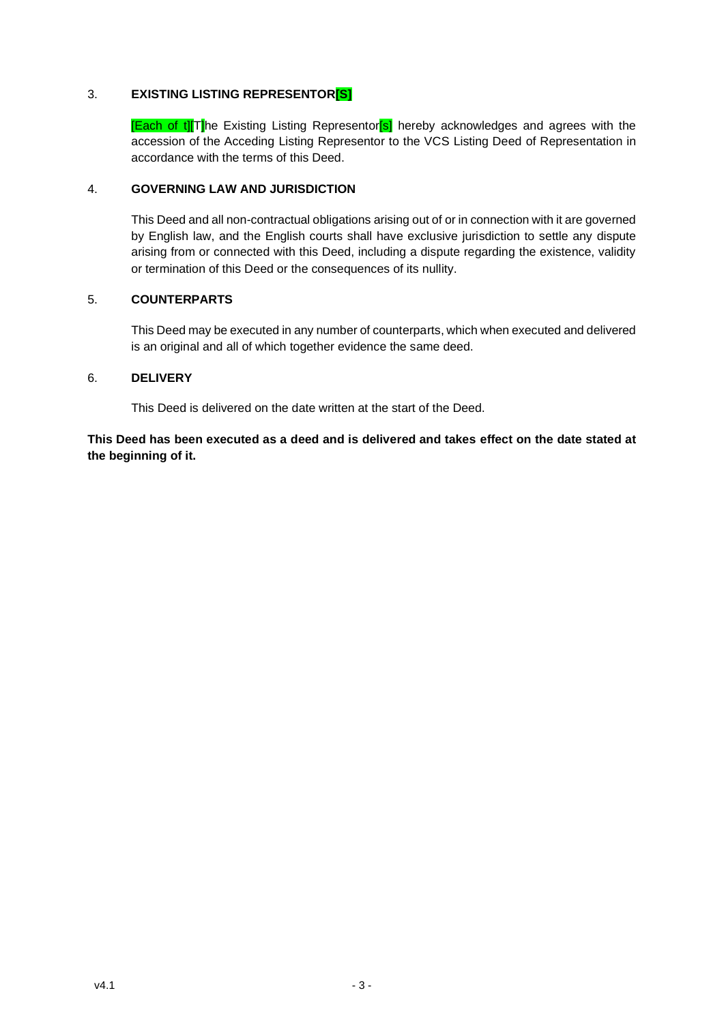# 3. **EXISTING LISTING REPRESENTOR[S]**

**[Each of t][T]**he Existing Listing Representor<sup>[s]</sup> hereby acknowledges and agrees with the accession of the Acceding Listing Representor to the VCS Listing Deed of Representation in accordance with the terms of this Deed.

## 4. **GOVERNING LAW AND JURISDICTION**

This Deed and all non-contractual obligations arising out of or in connection with it are governed by English law, and the English courts shall have exclusive jurisdiction to settle any dispute arising from or connected with this Deed, including a dispute regarding the existence, validity or termination of this Deed or the consequences of its nullity.

# 5. **COUNTERPARTS**

This Deed may be executed in any number of counterparts, which when executed and delivered is an original and all of which together evidence the same deed.

#### 6. **DELIVERY**

This Deed is delivered on the date written at the start of the Deed.

**This Deed has been executed as a deed and is delivered and takes effect on the date stated at the beginning of it.**